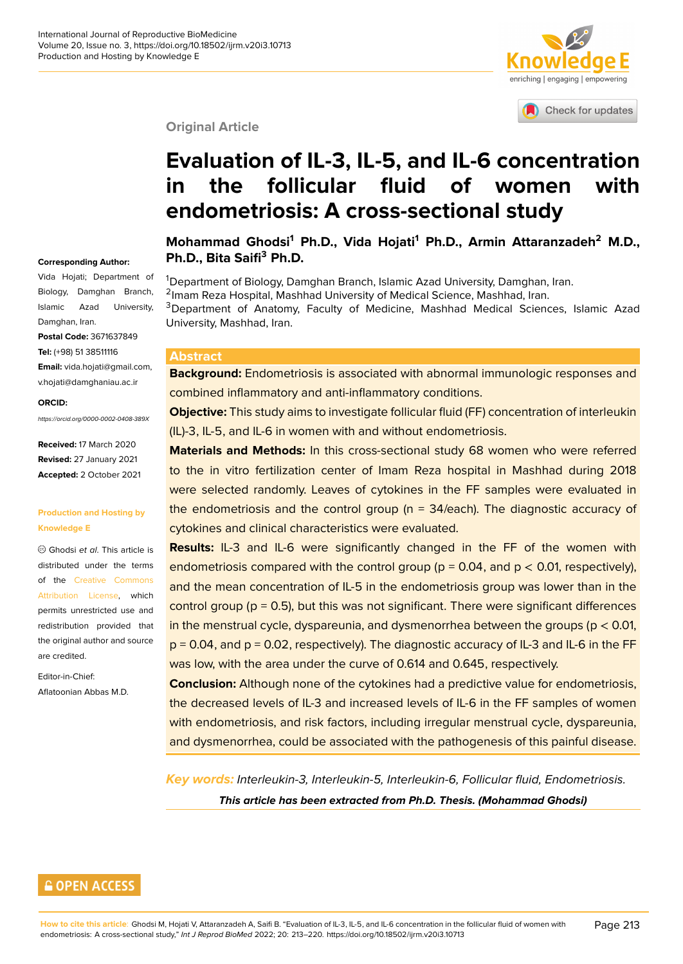# enriching | engaging | empowering

Check for updates

#### **Original Article**

# **Evaluation of IL-3, IL-5, and IL-6 c[oncentration](http://crossmark.crossref.org/dialog/?doi=10.18502/ijrm.v20i3.10713&domain=pdf&date_stamp=2018-01-27) in the follicular fluid of women with endometriosis: A cross-sectional study**

**Mohammad Ghodsi<sup>1</sup> Ph.D., Vida Hojati<sup>1</sup> Ph.D., Armin Attaranzadeh<sup>2</sup> M.D., Ph.D., Bita Saifi<sup>3</sup> Ph.D.**

<sup>1</sup>Department of Biology, Damghan Branch, Islamic Azad University, Damghan, Iran. <sup>2</sup>Imam Reza Hospital, Mashhad University of Medical Science, Mashhad, Iran. <sup>3</sup>Department of Anatomy, Faculty of Medicine, Mashhad Medical Sciences, Islamic Azad University, Mashhad, Iran.

#### **Abstract**

**Background:** Endometriosis is associated with abnormal immunologic responses and combined inflammatory and anti-inflammatory conditions.

**Objective:** This study aims to investigate follicular fluid (FF) concentration of interleukin (IL)-3, IL-5, and IL-6 in women with and without endometriosis.

**Materials and Methods:** In this cross-sectional study 68 women who were referred to the in vitro fertilization center of Imam Reza hospital in Mashhad during 2018 were selected randomly. Leaves of cytokines in the FF samples were evaluated in the endometriosis and the control group ( $n = 34$ /each). The diagnostic accuracy of cytokines and clinical characteristics were evaluated.

**Results:** IL-3 and IL-6 were significantly changed in the FF of the women with endometriosis compared with the control group ( $p = 0.04$ , and  $p < 0.01$ , respectively), and the mean concentration of IL-5 in the endometriosis group was lower than in the control group ( $p = 0.5$ ), but this was not significant. There were significant differences in the menstrual cycle, dyspareunia, and dysmenorrhea between the groups ( $p < 0.01$ ,  $p = 0.04$ , and  $p = 0.02$ , respectively). The diagnostic accuracy of IL-3 and IL-6 in the FF was low, with the area under the curve of 0.614 and 0.645, respectively.

**Conclusion:** Although none of the cytokines had a predictive value for endometriosis, the decreased levels of IL-3 and increased levels of IL-6 in the FF samples of women with endometriosis, and risk factors, including irregular menstrual cycle, dyspareunia, and dysmenorrhea, could be associated with the pathogenesis of this painful disease.

*Key words: Interleukin-3, Interleukin-5, Interleukin-6, Follicular fluid, Endometriosis. This article has been extracted from Ph.D. Thesis. (Mohammad Ghodsi)*

#### **Corresponding Author:**

Vida Hojati; Department of Biology, Damghan Branch, Islamic Azad University, Damghan, Iran. **Postal Code:** 3671637849 **Tel:** (+98) 51 38511116 **Email:** vida.hojati@gmail.com, v.hojati@damghaniau.ac.ir

#### **ORCID:**

*https://orcid.org/0000-0002-0408-389X*

**Received:** 17 March 2020 **Revised:** 27 January 2021 **Accepted:** 2 October 2021

#### **Production and Hosting by Knowledge E**

Ghodsi *et al*. This article is distributed under the terms of the Creative Commons Attribution License, which permits unrestricted use and redistribution provided that the origi[nal author and source](https://creativecommons.org/licenses/by/4.0/) [are credited.](https://creativecommons.org/licenses/by/4.0/)

Editor-in-Chief: Aflatoonian Abbas M.D.

### **GOPEN ACCESS**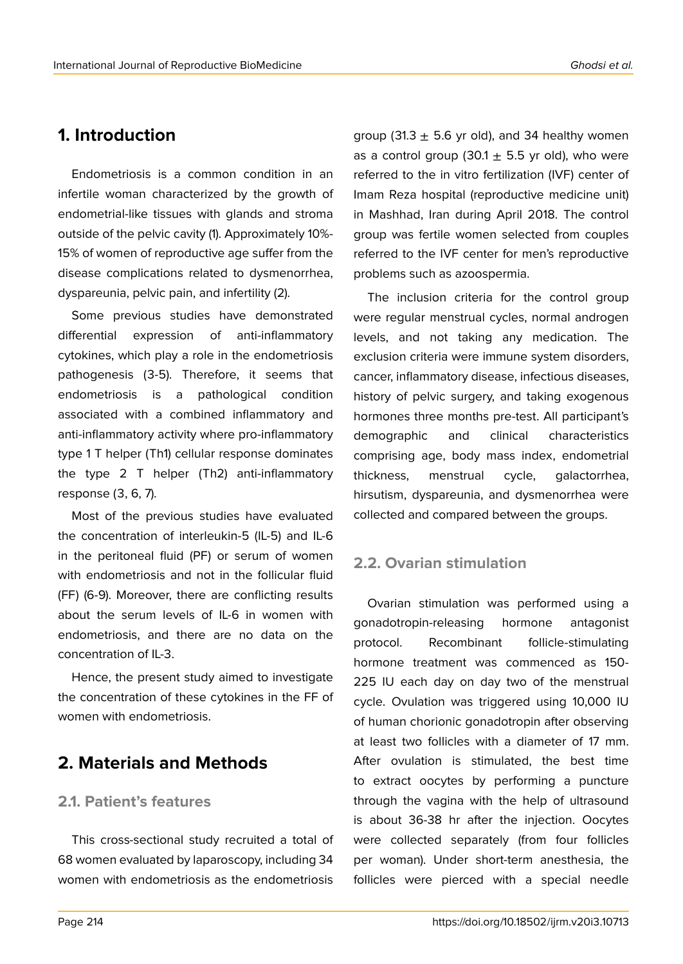# **1. Introduction**

Endometriosis is a common condition in an infertile woman characterized by the growth of endometrial-like tissues with glands and stroma outside of the pelvic cavity (1). Approximately 10%- 15% of women of reproductive age suffer from the disease complications related to dysmenorrhea, dyspareunia, pelvic pain, and infertility (2).

Some previous studies have demonstrated differential expression of anti-inflammatory cytokines, which play a role in the endometriosis pathogenesis (3-5). Therefore, it seems that endometriosis is a pathological condition associated with a combined inflammatory and anti-inflammatory activity where pro-inflammatory type 1 T helper (Th1) cellular response dominates the type 2 T helper (Th2) anti-inflammatory response (3, 6, 7).

Most of the previous studies have evaluated the concentration of interleukin-5 (IL-5) and IL-6 in the peritoneal fluid (PF) or serum of women with endometriosis and not in the follicular fluid (FF) (6-9). Moreover, there are conflicting results about the serum levels of IL-6 in women with endometriosis, and there are no data on the concentration of IL-3.

Hence, the present study aimed to investigate the concentration of these cytokines in the FF of women with endometriosis.

# **2. Materials and Methods**

#### **2.1. Patient's features**

This cross-sectional study recruited a total of 68 women evaluated by laparoscopy, including 34 women with endometriosis as the endometriosis group (31.3  $\pm$  5.6 yr old), and 34 healthy women as a control group (30.1  $\pm$  5.5 yr old), who were referred to the in vitro fertilization (IVF) center of Imam Reza hospital (reproductive medicine unit) in Mashhad, Iran during April 2018. The control group was fertile women selected from couples referred to the IVF center for men's reproductive problems such as azoospermia.

The inclusion criteria for the control group were regular menstrual cycles, normal androgen levels, and not taking any medication. The exclusion criteria were immune system disorders, cancer, inflammatory disease, infectious diseases, history of pelvic surgery, and taking exogenous hormones three months pre-test. All participant's demographic and clinical characteristics comprising age, body mass index, endometrial thickness, menstrual cycle, galactorrhea, hirsutism, dyspareunia, and dysmenorrhea were collected and compared between the groups.

#### **2.2. Ovarian stimulation**

Ovarian stimulation was performed using a gonadotropin-releasing hormone antagonist protocol. Recombinant follicle-stimulating hormone treatment was commenced as 150- 225 IU each day on day two of the menstrual cycle. Ovulation was triggered using 10,000 IU of human chorionic gonadotropin after observing at least two follicles with a diameter of 17 mm. After ovulation is stimulated, the best time to extract oocytes by performing a puncture through the vagina with the help of ultrasound is about 36-38 hr after the injection. Oocytes were collected separately (from four follicles per woman). Under short-term anesthesia, the follicles were pierced with a special needle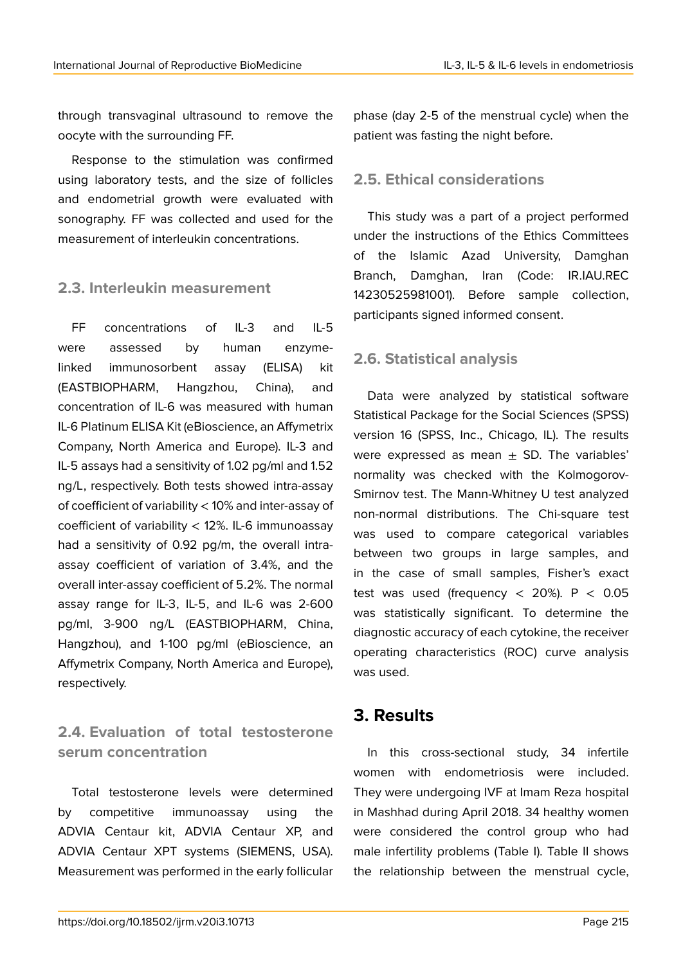through transvaginal ultrasound to remove the oocyte with the surrounding FF.

Response to the stimulation was confirmed using laboratory tests, and the size of follicles and endometrial growth were evaluated with sonography. FF was collected and used for the measurement of interleukin concentrations.

### **2.3. Interleukin measurement**

FF concentrations of IL-3 and IL-5 were assessed by human enzymelinked immunosorbent assay (ELISA) kit (EASTBIOPHARM, Hangzhou, China), and concentration of IL-6 was measured with human IL-6 Platinum ELISA Kit (eBioscience, an Affymetrix Company, North America and Europe). IL-3 and IL-5 assays had a sensitivity of 1.02 pg/ml and 1.52 ng/L, respectively. Both tests showed intra-assay of coefficient of variability < 10% and inter-assay of coefficient of variability < 12%. IL-6 immunoassay had a sensitivity of 0.92 pg/m, the overall intraassay coefficient of variation of 3.4%, and the overall inter-assay coefficient of 5.2%. The normal assay range for IL-3, IL-5, and IL-6 was 2-600 pg/ml, 3-900 ng/L (EASTBIOPHARM, China, Hangzhou), and 1-100 pg/ml (eBioscience, an Affymetrix Company, North America and Europe), respectively.

### **2.4. Evaluation of total testosterone serum concentration**

Total testosterone levels were determined by competitive immunoassay using the ADVIA Centaur kit, ADVIA Centaur XP, and ADVIA Centaur XPT systems (SIEMENS, USA). Measurement was performed in the early follicular phase (day 2-5 of the menstrual cycle) when the patient was fasting the night before.

### **2.5. Ethical considerations**

This study was a part of a project performed under the instructions of the Ethics Committees of the Islamic Azad University, Damghan Branch, Damghan, Iran (Code: IR.IAU.REC 14230525981001). Before sample collection, participants signed informed consent.

### **2.6. Statistical analysis**

Data were analyzed by statistical software Statistical Package for the Social Sciences (SPSS) version 16 (SPSS, Inc., Chicago, IL). The results were expressed as mean  $\pm$  SD. The variables' normality was checked with the Kolmogorov-Smirnov test. The Mann-Whitney U test analyzed non-normal distributions. The Chi-square test was used to compare categorical variables between two groups in large samples, and in the case of small samples, Fisher's exact test was used (frequency  $<$  20%). P  $<$  0.05 was statistically significant. To determine the diagnostic accuracy of each cytokine, the receiver operating characteristics (ROC) curve analysis was used.

# **3. Results**

In this cross-sectional study, 34 infertile women with endometriosis were included. They were undergoing IVF at Imam Reza hospital in Mashhad during April 2018. 34 healthy women were considered the control group who had male infertility problems (Table I). Table II shows the relationship between the menstrual cycle,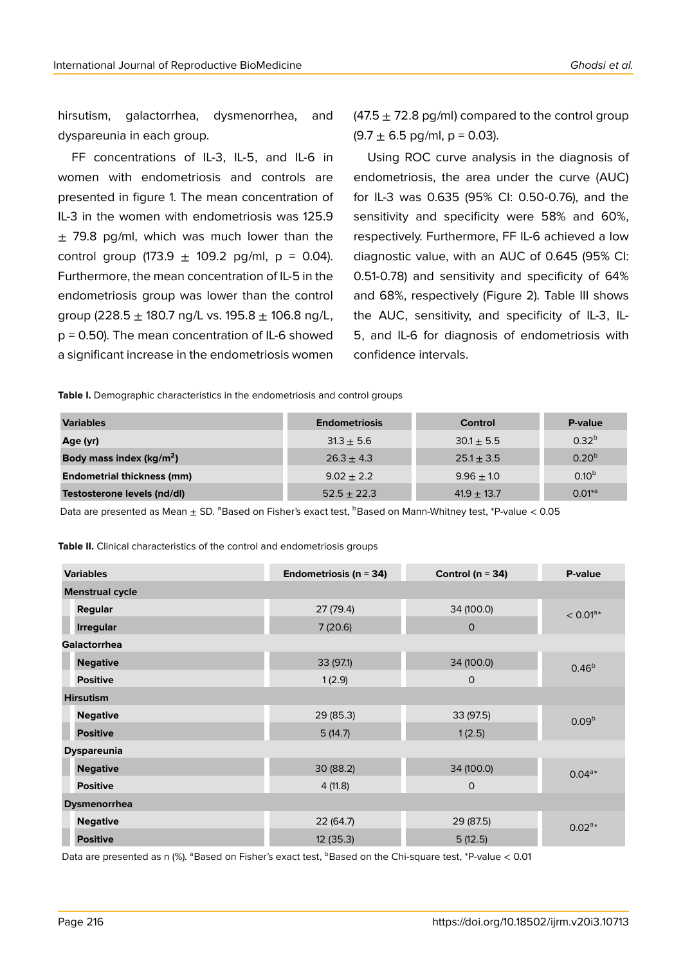hirsutism, galactorrhea, dysmenorrhea, and dyspareunia in each group.

FF concentrations of IL-3, IL-5, and IL-6 in women with endometriosis and controls are presented in figure 1. The mean concentration of IL-3 in the women with endometriosis was 125.9  $\pm$  79.8 pg/ml, which was much lower than the control group  $(173.9 \pm 109.2 \text{ pq/ml}, p = 0.04)$ . Furthermore, the mean concentration of IL-5 in the endometriosis group was lower than the control group (228.5  $\pm$  180.7 ng/L vs. 195.8  $\pm$  106.8 ng/L, p = 0.50). The mean concentration of IL-6 showed a significant increase in the endometriosis women  $(47.5 \pm 72.8 \text{ pg/ml})$  compared to the control group  $(9.7 \pm 6.5 \text{ pg/ml}, p = 0.03)$ .

Using ROC curve analysis in the diagnosis of endometriosis, the area under the curve (AUC) for IL-3 was 0.635 (95% CI: 0.50-0.76), and the sensitivity and specificity were 58% and 60%, respectively. Furthermore, FF IL-6 achieved a low diagnostic value, with an AUC of 0.645 (95% CI: 0.51-0.78) and sensitivity and specificity of 64% and 68%, respectively (Figure 2). Table III shows the AUC, sensitivity, and specificity of IL-3, IL-5, and IL-6 for diagnosis of endometriosis with confidence intervals.

**Table I.** Demographic characteristics in the endometriosis and control groups

| <b>Variables</b>                    | <b>Endometriosis</b> | <b>Control</b>  | P-value     |
|-------------------------------------|----------------------|-----------------|-------------|
| Age (yr)                            | $31.3 + 5.6$         | $30.1 \pm 5.5$  | $0.32^{b}$  |
| Body mass index ( $\text{kg/m}^2$ ) | $26.3 + 4.3$         | $25.1 \pm 3.5$  | $0.20^{b}$  |
| <b>Endometrial thickness (mm)</b>   | $9.02 + 2.2$         | $9.96 + 1.0$    | $0.10^{b}$  |
| Testosterone levels (nd/dl)         | $52.5 + 22.3$        | $41.9 \pm 13.7$ | $0.01^{*a}$ |

Data are presented as Mean  $\pm$  SD. <sup>a</sup>Based on Fisher's exact test, <sup>b</sup>Based on Mann-Whitney test, \*P-value < 0.05

**Table II.** Clinical characteristics of the control and endometriosis groups

| <b>Variables</b>       | Endometriosis ( $n = 34$ ) | Control ( $n = 34$ ) | P-value           |  |
|------------------------|----------------------------|----------------------|-------------------|--|
| <b>Menstrual cycle</b> |                            |                      |                   |  |
| Regular                | 27(79.4)                   | 34 (100.0)           | $< 0.01a*$        |  |
| <b>Irregular</b>       | 7(20.6)                    | $\mathbf{O}$         |                   |  |
| <b>Galactorrhea</b>    |                            |                      |                   |  |
| <b>Negative</b>        | 33 (97.1)                  | 34 (100.0)           | 0.46 <sup>b</sup> |  |
| <b>Positive</b>        | 1(2.9)                     | 0                    |                   |  |
| <b>Hirsutism</b>       |                            |                      |                   |  |
| <b>Negative</b>        | 29 (85.3)                  | 33 (97.5)            | 0.09 <sup>b</sup> |  |
| <b>Positive</b>        | 5(14.7)                    | 1(2.5)               |                   |  |
| <b>Dyspareunia</b>     |                            |                      |                   |  |
| <b>Negative</b>        | 30 (88.2)                  | 34 (100.0)           | $0.04^{a*}$       |  |
| <b>Positive</b>        | 4(11.8)                    | $\circ$              |                   |  |
| <b>Dysmenorrhea</b>    |                            |                      |                   |  |
| <b>Negative</b>        | 22 (64.7)                  | 29 (87.5)            | $0.02^{a*}$       |  |
| <b>Positive</b>        | 12(35.3)                   | 5(12.5)              |                   |  |

Data are presented as n (%). <sup>a</sup>Based on Fisher's exact test, <sup>b</sup>Based on the Chi-square test, \*P-value < 0.01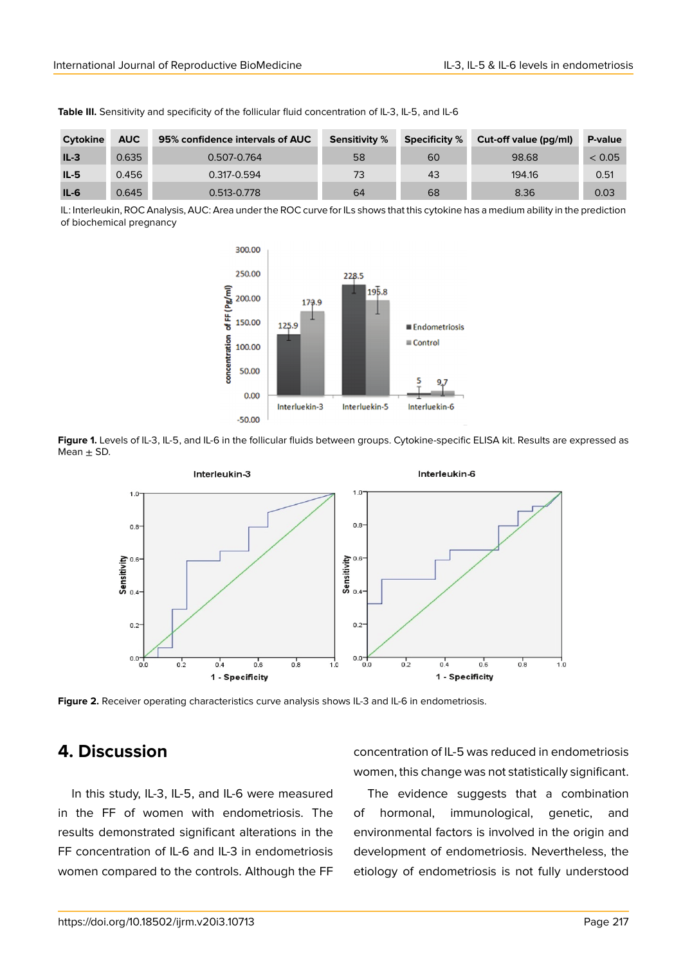| Cytokine | <b>AUC</b> | 95% confidence intervals of AUC | <b>Sensitivity %</b> | <b>Specificity %</b> | Cut-off value (pg/ml) | P-value |
|----------|------------|---------------------------------|----------------------|----------------------|-----------------------|---------|
| $IL-3$   | 0.635      | 0.507-0.764                     | 58                   | 60                   | 98.68                 | < 0.05  |
| $IL-5$   | 0.456      | 0.317-0.594                     | 73                   | 43                   | 194.16                | 0.51    |
| $IL-6$   | 0.645      | 0.513-0.778                     | 64                   | 68                   | 8.36                  | 0.03    |

**Table III.** Sensitivity and specificity of the follicular fluid concentration of IL-3, IL-5, and IL-6

IL: Interleukin, ROC Analysis, AUC: Area under the ROC curve for ILs shows that this cytokine has a medium ability in the prediction of biochemical pregnancy



**Figure 1.** Levels of IL-3, IL-5, and IL-6 in the follicular fluids between groups. Cytokine-specific ELISA kit. Results are expressed as Mean  $\pm$  SD.



**Figure 2.** Receiver operating characteristics curve analysis shows IL-3 and IL-6 in endometriosis.

### **4. Discussion**

In this study, IL-3, IL-5, and IL-6 were measured in the FF of women with endometriosis. The results demonstrated significant alterations in the FF concentration of IL-6 and IL-3 in endometriosis women compared to the controls. Although the FF concentration of IL-5 was reduced in endometriosis women, this change was not statistically significant.

The evidence suggests that a combination of hormonal, immunological, genetic, and environmental factors is involved in the origin and development of endometriosis. Nevertheless, the etiology of endometriosis is not fully understood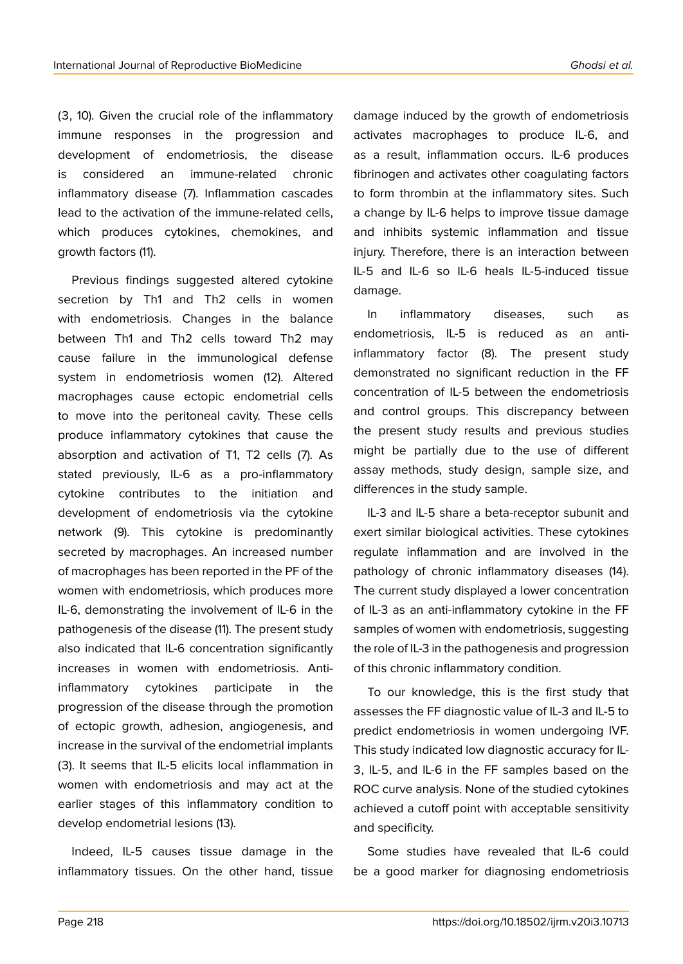(3, 10). Given the crucial role of the inflammatory immune responses in the progression and development of endometriosis, the disease is considered an immune-related chronic inflammatory disease (7). Inflammation cascades lead to the activation of the immune-related cells, which produces cytokines, chemokines, and growth factors (11).

Previous findings suggested altered cytokine secretion by Th1 and Th2 cells in women with endometriosis. Changes in the balance between Th1 and Th2 cells toward Th2 may cause failure in the immunological defense system in endometriosis women (12). Altered macrophages cause ectopic endometrial cells to move into the peritoneal cavity. These cells produce inflammatory cytokines that cause the absorption and activation of T1, T2 cells (7). As stated previously, IL-6 as a pro-inflammatory cytokine contributes to the initiation and development of endometriosis via the cytokine network (9). This cytokine is predominantly secreted by macrophages. An increased number of macrophages has been reported in the PF of the women with endometriosis, which produces more IL-6, demonstrating the involvement of IL-6 in the pathogenesis of the disease (11). The present study also indicated that IL-6 concentration significantly increases in women with endometriosis. Antiinflammatory cytokines participate in the progression of the disease through the promotion of ectopic growth, adhesion, angiogenesis, and increase in the survival of the endometrial implants (3). It seems that IL-5 elicits local inflammation in women with endometriosis and may act at the earlier stages of this inflammatory condition to develop endometrial lesions (13).

Indeed, IL-5 causes tissue damage in the inflammatory tissues. On the other hand, tissue damage induced by the growth of endometriosis activates macrophages to produce IL-6, and as a result, inflammation occurs. IL-6 produces fibrinogen and activates other coagulating factors to form thrombin at the inflammatory sites. Such a change by IL-6 helps to improve tissue damage and inhibits systemic inflammation and tissue injury. Therefore, there is an interaction between IL-5 and IL-6 so IL-6 heals IL-5-induced tissue damage.

In inflammatory diseases, such as endometriosis, IL-5 is reduced as an antiinflammatory factor (8). The present study demonstrated no significant reduction in the FF concentration of IL-5 between the endometriosis and control groups. This discrepancy between the present study results and previous studies might be partially due to the use of different assay methods, study design, sample size, and differences in the study sample.

IL-3 and IL-5 share a beta-receptor subunit and exert similar biological activities. These cytokines regulate inflammation and are involved in the pathology of chronic inflammatory diseases (14). The current study displayed a lower concentration of IL-3 as an anti-inflammatory cytokine in the FF samples of women with endometriosis, suggesting the role of IL-3 in the pathogenesis and progression of this chronic inflammatory condition.

To our knowledge, this is the first study that assesses the FF diagnostic value of IL-3 and IL-5 to predict endometriosis in women undergoing IVF. This study indicated low diagnostic accuracy for IL-3, IL-5, and IL-6 in the FF samples based on the ROC curve analysis. None of the studied cytokines achieved a cutoff point with acceptable sensitivity and specificity.

Some studies have revealed that IL-6 could be a good marker for diagnosing endometriosis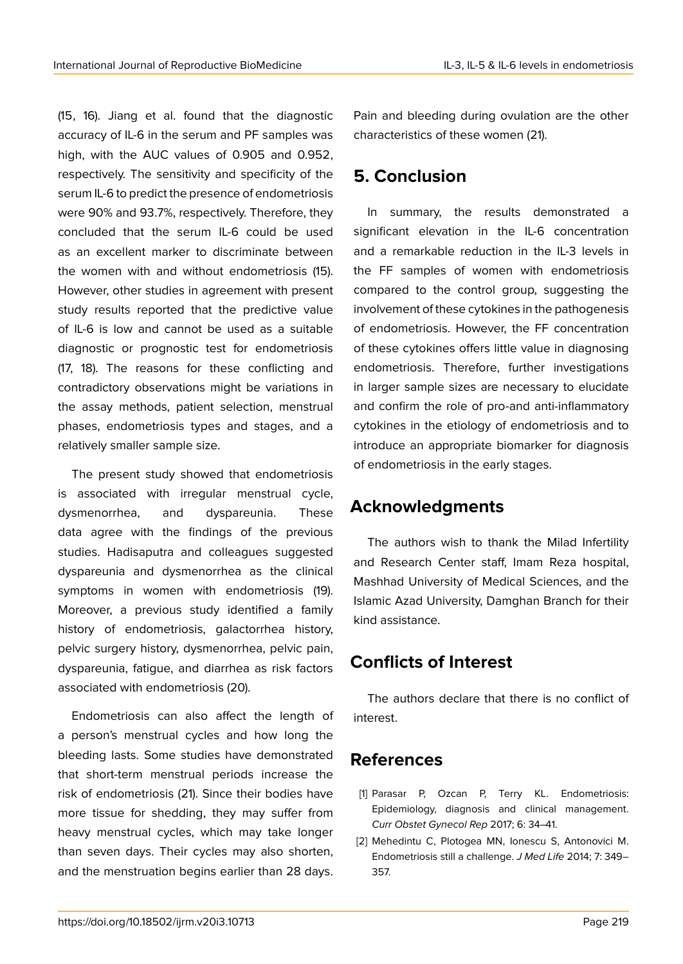(15, 16). Jiang et al. found that the diagnostic accuracy of IL-6 in the serum and PF samples was high, with the AUC values of 0.905 and 0.952, respectively. The sensitivity and specificity of the serum IL-6 to predict the presence of endometriosis were 90% and 93.7%, respectively. Therefore, they concluded that the serum IL-6 could be used as an excellent marker to discriminate between the women with and without endometriosis (15). However, other studies in agreement with present study results reported that the predictive value of IL-6 is low and cannot be used as a suitable diagnostic or prognostic test for endometriosis (17, 18). The reasons for these conflicting and contradictory observations might be variations in the assay methods, patient selection, menstrual phases, endometriosis types and stages, and a relatively smaller sample size.

The present study showed that endometriosis is associated with irregular menstrual cycle, dysmenorrhea, and dyspareunia. These data agree with the findings of the previous studies. Hadisaputra and colleagues suggested dyspareunia and dysmenorrhea as the clinical symptoms in women with endometriosis (19). Moreover, a previous study identified a family history of endometriosis, galactorrhea history, pelvic surgery history, dysmenorrhea, pelvic pain, dyspareunia, fatigue, and diarrhea as risk factors associated with endometriosis (20).

Endometriosis can also affect the length of a person's menstrual cycles and how long the bleeding lasts. Some studies have demonstrated that short-term menstrual periods increase the risk of endometriosis (21). Since their bodies have more tissue for shedding, they may suffer from heavy menstrual cycles, which may take longer than seven days. Their cycles may also shorten, and the menstruation begins earlier than 28 days.

Pain and bleeding during ovulation are the other characteristics of these women (21).

# **5. Conclusion**

In summary, the results demonstrated a significant elevation in the IL-6 concentration and a remarkable reduction in the IL-3 levels in the FF samples of women with endometriosis compared to the control group, suggesting the involvement of these cytokines in the pathogenesis of endometriosis. However, the FF concentration of these cytokines offers little value in diagnosing endometriosis. Therefore, further investigations in larger sample sizes are necessary to elucidate and confirm the role of pro-and anti-inflammatory cytokines in the etiology of endometriosis and to introduce an appropriate biomarker for diagnosis of endometriosis in the early stages.

# **Acknowledgments**

The authors wish to thank the Milad Infertility and Research Center staff, Imam Reza hospital, Mashhad University of Medical Sciences, and the Islamic Azad University, Damghan Branch for their kind assistance.

# **Conflicts of Interest**

The authors declare that there is no conflict of interest.

# **References**

- [1] Parasar P, Ozcan P, Terry KL. Endometriosis: Epidemiology, diagnosis and clinical management. *Curr Obstet Gynecol Rep* 2017; 6: 34–41.
- [2] Mehedintu C, Plotogea MN, Ionescu S, Antonovici M. Endometriosis still a challenge. *J Med Life* 2014; 7: 349– 357.